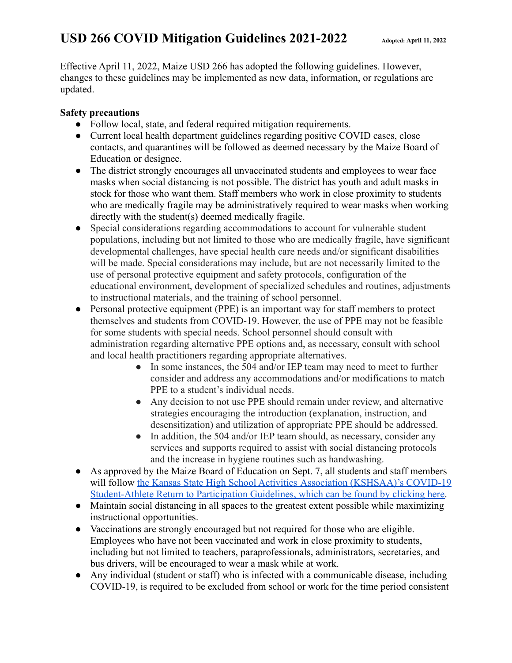# **USD 266 COVID Mitigation Guidelines 2021-2022 Adopted: April 11, <sup>2022</sup>**

Effective April 11, 2022, Maize USD 266 has adopted the following guidelines. However, changes to these guidelines may be implemented as new data, information, or regulations are updated.

#### **Safety precautions**

- Follow local, state, and federal required mitigation requirements.
- Current local health department guidelines regarding positive COVID cases, close contacts, and quarantines will be followed as deemed necessary by the Maize Board of Education or designee.
- The district strongly encourages all unvaccinated students and employees to wear face masks when social distancing is not possible. The district has youth and adult masks in stock for those who want them. Staff members who work in close proximity to students who are medically fragile may be administratively required to wear masks when working directly with the student(s) deemed medically fragile.
- Special considerations regarding accommodations to account for vulnerable student populations, including but not limited to those who are medically fragile, have significant developmental challenges, have special health care needs and/or significant disabilities will be made. Special considerations may include, but are not necessarily limited to the use of personal protective equipment and safety protocols, configuration of the educational environment, development of specialized schedules and routines, adjustments to instructional materials, and the training of school personnel.
- Personal protective equipment (PPE) is an important way for staff members to protect themselves and students from COVID-19. However, the use of PPE may not be feasible for some students with special needs. School personnel should consult with administration regarding alternative PPE options and, as necessary, consult with school and local health practitioners regarding appropriate alternatives.
	- In some instances, the 504 and/or IEP team may need to meet to further consider and address any accommodations and/or modifications to match PPE to a student's individual needs.
	- Any decision to not use PPE should remain under review, and alternative strategies encouraging the introduction (explanation, instruction, and desensitization) and utilization of appropriate PPE should be addressed.
	- In addition, the 504 and/or IEP team should, as necessary, consider any services and supports required to assist with social distancing protocols and the increase in hygiene routines such as handwashing.
- As approved by the Maize Board of Education on Sept. 7, all students and staff members will follow [the Kansas State High School Activities](https://drive.google.com/file/d/1MNFHl-mmrTtx58mOl88CP0jd8V8O3Db-/view) Association (KSHSAA)'s COVID-19 [Student-Athlete Return to Participation Guidelines, which can be found by clicking here.](https://drive.google.com/file/d/1MNFHl-mmrTtx58mOl88CP0jd8V8O3Db-/view)
- Maintain social distancing in all spaces to the greatest extent possible while maximizing instructional opportunities.
- Vaccinations are strongly encouraged but not required for those who are eligible. Employees who have not been vaccinated and work in close proximity to students, including but not limited to teachers, paraprofessionals, administrators, secretaries, and bus drivers, will be encouraged to wear a mask while at work.
- Any individual (student or staff) who is infected with a communicable disease, including COVID-19, is required to be excluded from school or work for the time period consistent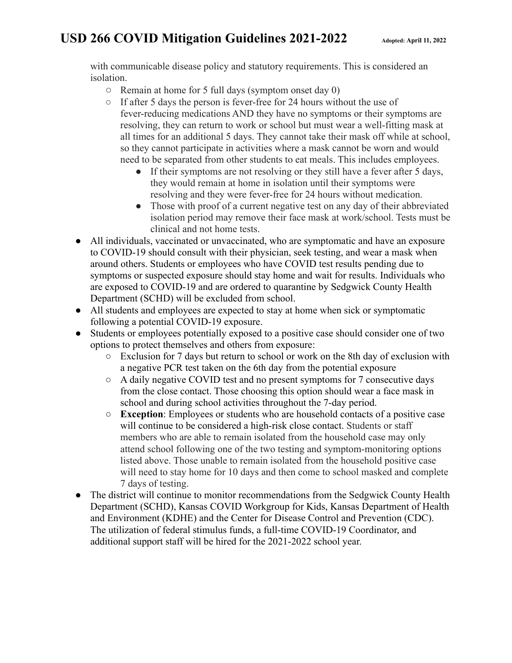# **USD 266 COVID Mitigation Guidelines 2021-2022 Adopted: April 11, <sup>2022</sup>**

with communicable disease policy and statutory requirements. This is considered an isolation.

- $\circ$  Remain at home for 5 full days (symptom onset day 0)
- If after 5 days the person is fever-free for 24 hours without the use of fever-reducing medications AND they have no symptoms or their symptoms are resolving, they can return to work or school but must wear a well-fitting mask at all times for an additional 5 days. They cannot take their mask off while at school, so they cannot participate in activities where a mask cannot be worn and would need to be separated from other students to eat meals. This includes employees.
	- If their symptoms are not resolving or they still have a fever after 5 days, they would remain at home in isolation until their symptoms were resolving and they were fever-free for 24 hours without medication.
	- Those with proof of a current negative test on any day of their abbreviated isolation period may remove their face mask at work/school. Tests must be clinical and not home tests.
- All individuals, vaccinated or unvaccinated, who are symptomatic and have an exposure to COVID-19 should consult with their physician, seek testing, and wear a mask when around others. Students or employees who have COVID test results pending due to symptoms or suspected exposure should stay home and wait for results. Individuals who are exposed to COVID-19 and are ordered to quarantine by Sedgwick County Health Department (SCHD) will be excluded from school.
- All students and employees are expected to stay at home when sick or symptomatic following a potential COVID-19 exposure.
- Students or employees potentially exposed to a positive case should consider one of two options to protect themselves and others from exposure:
	- Exclusion for 7 days but return to school or work on the 8th day of exclusion with a negative PCR test taken on the 6th day from the potential exposure
	- A daily negative COVID test and no present symptoms for 7 consecutive days from the close contact. Those choosing this option should wear a face mask in school and during school activities throughout the 7-day period.
	- **Exception**: Employees or students who are household contacts of a positive case will continue to be considered a high-risk close contact. Students or staff members who are able to remain isolated from the household case may only attend school following one of the two testing and symptom-monitoring options listed above. Those unable to remain isolated from the household positive case will need to stay home for 10 days and then come to school masked and complete 7 days of testing.
- The district will continue to monitor recommendations from the Sedgwick County Health Department (SCHD), Kansas COVID Workgroup for Kids, Kansas Department of Health and Environment (KDHE) and the Center for Disease Control and Prevention (CDC). The utilization of federal stimulus funds, a full-time COVID-19 Coordinator, and additional support staff will be hired for the 2021-2022 school year.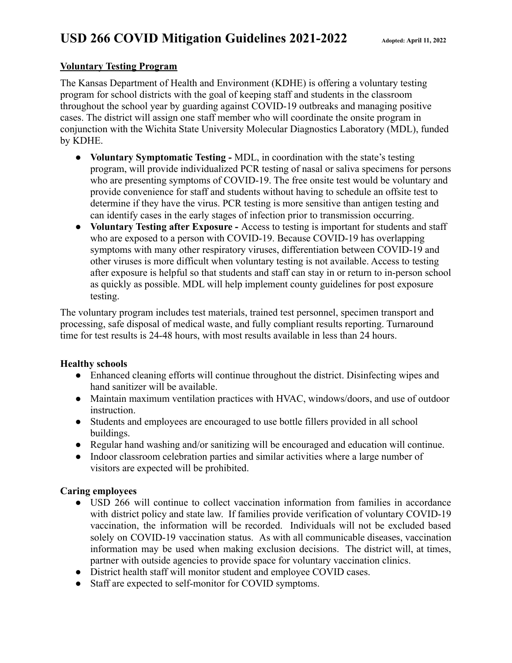### **Voluntary Testing Program**

The Kansas Department of Health and Environment (KDHE) is offering a voluntary testing program for school districts with the goal of keeping staff and students in the classroom throughout the school year by guarding against COVID-19 outbreaks and managing positive cases. The district will assign one staff member who will coordinate the onsite program in conjunction with the Wichita State University Molecular Diagnostics Laboratory (MDL), funded by KDHE.

- **Voluntary Symptomatic Testing -** MDL, in coordination with the state's testing program, will provide individualized PCR testing of nasal or saliva specimens for persons who are presenting symptoms of COVID-19. The free onsite test would be voluntary and provide convenience for staff and students without having to schedule an offsite test to determine if they have the virus. PCR testing is more sensitive than antigen testing and can identify cases in the early stages of infection prior to transmission occurring.
- **Voluntary Testing after Exposure -** Access to testing is important for students and staff who are exposed to a person with COVID-19. Because COVID-19 has overlapping symptoms with many other respiratory viruses, differentiation between COVID-19 and other viruses is more difficult when voluntary testing is not available. Access to testing after exposure is helpful so that students and staff can stay in or return to in-person school as quickly as possible. MDL will help implement county guidelines for post exposure testing.

The voluntary program includes test materials, trained test personnel, specimen transport and processing, safe disposal of medical waste, and fully compliant results reporting. Turnaround time for test results is 24-48 hours, with most results available in less than 24 hours.

#### **Healthy schools**

- Enhanced cleaning efforts will continue throughout the district. Disinfecting wipes and hand sanitizer will be available.
- Maintain maximum ventilation practices with HVAC, windows/doors, and use of outdoor instruction.
- Students and employees are encouraged to use bottle fillers provided in all school buildings.
- Regular hand washing and/or sanitizing will be encouraged and education will continue.
- Indoor classroom celebration parties and similar activities where a large number of visitors are expected will be prohibited.

### **Caring employees**

- USD 266 will continue to collect vaccination information from families in accordance with district policy and state law. If families provide verification of voluntary COVID-19 vaccination, the information will be recorded. Individuals will not be excluded based solely on COVID-19 vaccination status. As with all communicable diseases, vaccination information may be used when making exclusion decisions. The district will, at times, partner with outside agencies to provide space for voluntary vaccination clinics.
- District health staff will monitor student and employee COVID cases.
- Staff are expected to self-monitor for COVID symptoms.